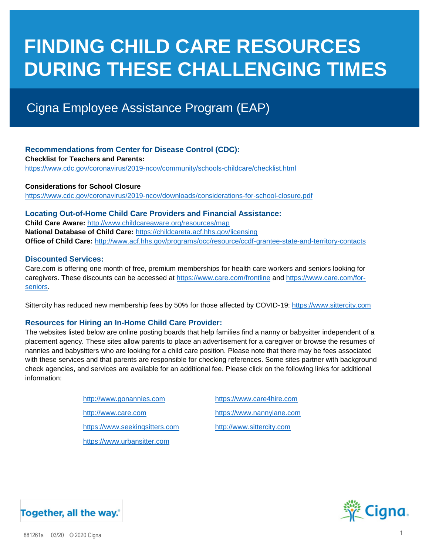# **FINDING CHILD CARE RESOURCES DURING THESE CHALLENGING TIMES**

## Cigna Employee Assistance Program (EAP)

#### **Recommendations from Center for Disease Control (CDC): Checklist for Teachers and Parents:**  <https://www.cdc.gov/coronavirus/2019-ncov/community/schools-childcare/checklist.html>

**Considerations for School Closure** <https://www.cdc.gov/coronavirus/2019-ncov/downloads/considerations-for-school-closure.pdf>

#### **Locating Out-of-Home Child Care Providers and Financial Assistance:**

**Child Care Aware:** <http://www.childcareaware.org/resources/map> **National Database of Child Care:** <https://childcareta.acf.hhs.gov/licensing> **Office of Child Care:** <http://www.acf.hhs.gov/programs/occ/resource/ccdf-grantee-state-and-territory-contacts>

#### **Discounted Services:**

Care.com is offering one month of free, premium memberships for health care workers and seniors looking for caregivers. These discounts can be accessed at<https://www.care.com/frontline> and [https://www.care.com/for](https://www.care.com/for-seniors)[seniors.](https://www.care.com/for-seniors)

Sittercity has reduced new membership fees by 50% for those affected by COVID-19[: https://www.sittercity.com](https://www.sittercity.com/)

#### **Resources for Hiring an In-Home Child Care Provider:**

The websites listed below are online posting boards that help families find a nanny or babysitter independent of a placement agency. These sites allow parents to place an advertisement for a caregiver or browse the resumes of nannies and babysitters who are looking for a child care position. Please note that there may be fees associated with these services and that parents are responsible for checking references. Some sites partner with background check agencies, and services are available for an additional fee. Please click on the following links for additional information:

| http://www.gonannies.com       | https://www.care4hire.com |
|--------------------------------|---------------------------|
| http://www.care.com            | https://www.nannylane.com |
| https://www.seekingsitters.com | http://www.sittercity.com |
| https://www.urbansitter.com    |                           |



### Together, all the way.<sup>\*</sup>